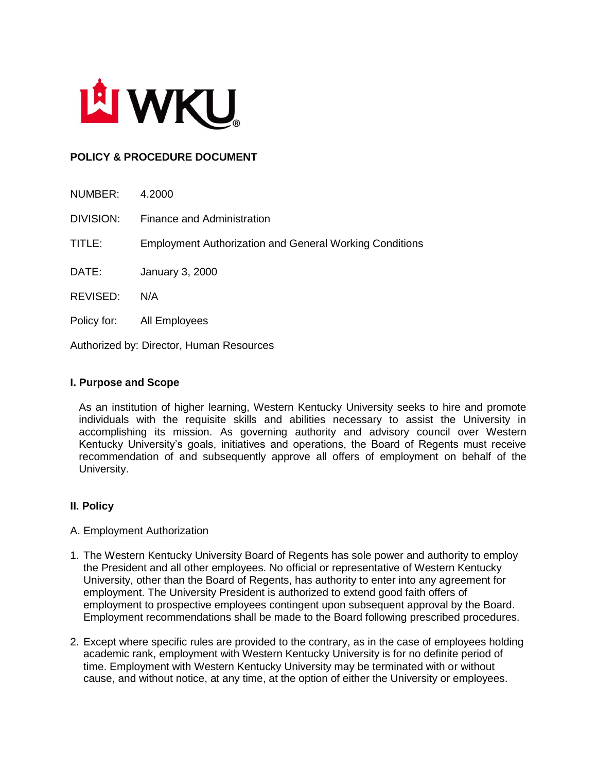

# **POLICY & PROCEDURE DOCUMENT**

| NUMBER:                                  | 4.2000                                                         |
|------------------------------------------|----------------------------------------------------------------|
| DIVISION:                                | Finance and Administration                                     |
| TITLE:                                   | <b>Employment Authorization and General Working Conditions</b> |
| DATE:                                    | January 3, 2000                                                |
| REVISED:                                 | N/A                                                            |
| Policy for:                              | All Employees                                                  |
| Authorized by: Director, Human Resources |                                                                |

## **I. Purpose and Scope**

As an institution of higher learning, Western Kentucky University seeks to hire and promote individuals with the requisite skills and abilities necessary to assist the University in accomplishing its mission. As governing authority and advisory council over Western Kentucky University's goals, initiatives and operations, the Board of Regents must receive recommendation of and subsequently approve all offers of employment on behalf of the University.

#### **II. Policy**

#### A. Employment Authorization

- 1. The Western Kentucky University Board of Regents has sole power and authority to employ the President and all other employees. No official or representative of Western Kentucky University, other than the Board of Regents, has authority to enter into any agreement for employment. The University President is authorized to extend good faith offers of employment to prospective employees contingent upon subsequent approval by the Board. Employment recommendations shall be made to the Board following prescribed procedures.
- 2. Except where specific rules are provided to the contrary, as in the case of employees holding academic rank, employment with Western Kentucky University is for no definite period of time. Employment with Western Kentucky University may be terminated with or without cause, and without notice, at any time, at the option of either the University or employees.